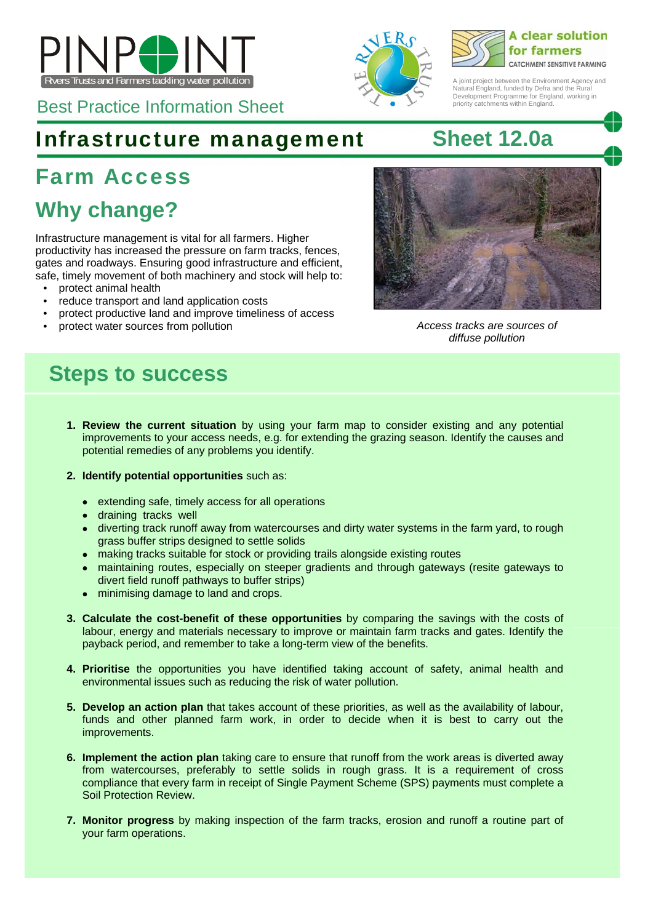

Best Practice Information Sheet

# Infrastructure management **Sheet 12.0a**

# Farm Access

# **Why change?**

Infrastructure management is vital for all farmers. Higher productivity has increased the pressure on farm tracks, fences, gates and roadways. Ensuring good infrastructure and efficient, safe, timely movement of both machinery and stock will help to:

- protect animal health
- reduce transport and land application costs
- protect productive land and improve timeliness of access
- protect water sources from pollution *Access tracks are sources of*





A ioint project between the Environment Agency and Natural England, funded by Defra and the Rural Development Programme for England, working in priority catchments within England.



*diffuse pollution* 

## **Steps to success**

- **1. Review the current situation** by using your farm map to consider existing and any potential improvements to your access needs, e.g. for extending the grazing season. Identify the causes and potential remedies of any problems you identify.
- **2. Identify potential opportunities** such as:
	- extending safe, timely access for all operations
	- draining tracks well
	- diverting track runoff away from watercourses and dirty water systems in the farm yard, to rough grass buffer strips designed to settle solids
	- making tracks suitable for stock or providing trails alongside existing routes
	- maintaining routes, especially on steeper gradients and through gateways (resite gateways to divert field runoff pathways to buffer strips)
	- minimising damage to land and crops.
- **3. Calculate the cost-benefit of these opportunities** by comparing the savings with the costs of labour, energy and materials necessary to improve or maintain farm tracks and gates. Identify the payback period, and remember to take a long-term view of the benefits.
- **4. Prioritise** the opportunities you have identified taking account of safety, animal health and environmental issues such as reducing the risk of water pollution.
- **5. Develop an action plan** that takes account of these priorities, as well as the availability of labour, funds and other planned farm work, in order to decide when it is best to carry out the improvements.
- **6. Implement the action plan** taking care to ensure that runoff from the work areas is diverted away from watercourses, preferably to settle solids in rough grass. It is a requirement of cross compliance that every farm in receipt of Single Payment Scheme (SPS) payments must complete a Soil Protection Review.
- **7. Monitor progress** by making inspection of the farm tracks, erosion and runoff a routine part of your farm operations.